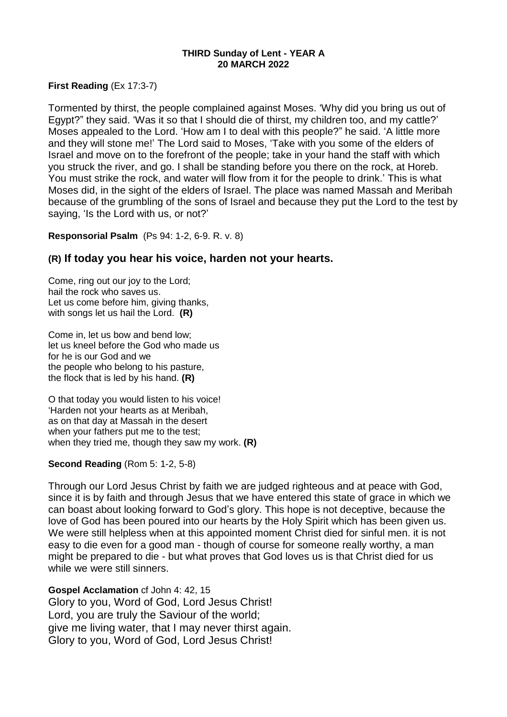#### **THIRD Sunday of Lent - YEAR A 20 MARCH 2022**

### **First Reading** (Ex 17:3-7)

Tormented by thirst, the people complained against Moses. 'Why did you bring us out of Egypt?" they said. 'Was it so that I should die of thirst, my children too, and my cattle?' Moses appealed to the Lord. 'How am I to deal with this people?" he said. 'A little more and they will stone me!' The Lord said to Moses, 'Take with you some of the elders of Israel and move on to the forefront of the people; take in your hand the staff with which you struck the river, and go. I shall be standing before you there on the rock, at Horeb. You must strike the rock, and water will flow from it for the people to drink.' This is what Moses did, in the sight of the elders of Israel. The place was named Massah and Meribah because of the grumbling of the sons of Israel and because they put the Lord to the test by saying, 'Is the Lord with us, or not?'

**Responsorial Psalm** (Ps 94: 1-2, 6-9. R. v. 8)

# **(R) If today you hear his voice, harden not your hearts.**

Come, ring out our joy to the Lord; hail the rock who saves us. Let us come before him, giving thanks, with songs let us hail the Lord. **(R)**

Come in, let us bow and bend low; let us kneel before the God who made us for he is our God and we the people who belong to his pasture, the flock that is led by his hand. **(R)**

O that today you would listen to his voice! 'Harden not your hearts as at Meribah, as on that day at Massah in the desert when your fathers put me to the test; when they tried me, though they saw my work. **(R)**

## **Second Reading** (Rom 5: 1-2, 5-8)

Through our Lord Jesus Christ by faith we are judged righteous and at peace with God, since it is by faith and through Jesus that we have entered this state of grace in which we can boast about looking forward to God's glory. This hope is not deceptive, because the love of God has been poured into our hearts by the Holy Spirit which has been given us. We were still helpless when at this appointed moment Christ died for sinful men. it is not easy to die even for a good man - though of course for someone really worthy, a man might be prepared to die - but what proves that God loves us is that Christ died for us while we were still sinners.

**Gospel Acclamation** cf John 4: 42, 15 Glory to you, Word of God, Lord Jesus Christ! Lord, you are truly the Saviour of the world; give me living water, that I may never thirst again. Glory to you, Word of God, Lord Jesus Christ!